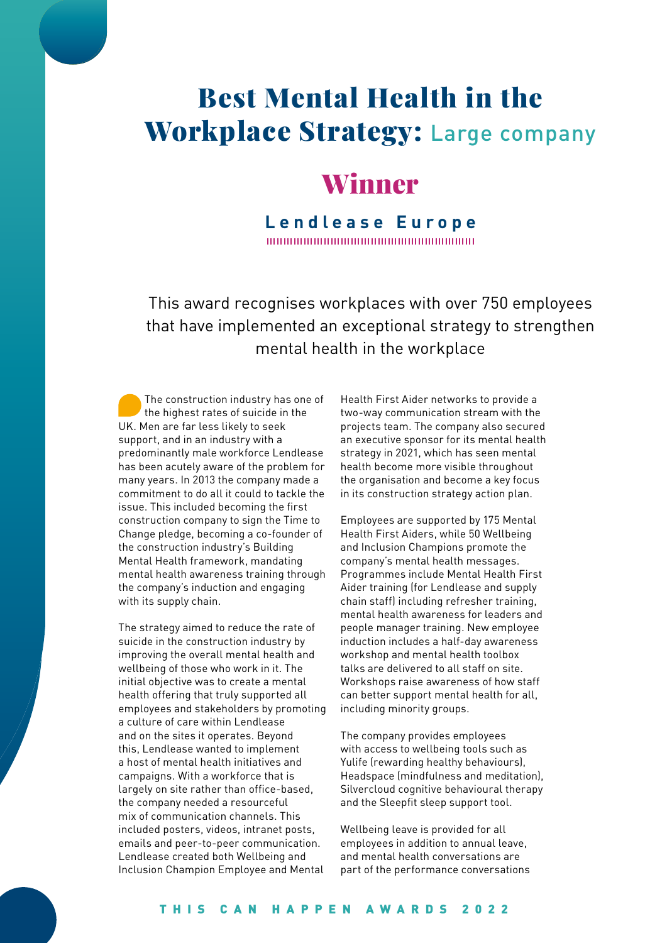# Best Mental Health in the Workplace Strategy: Large company

# Winner

### **Lendlease Europe** 10000000000000000000000000000000000

This award recognises workplaces with over 750 employees that have implemented an exceptional strategy to strengthen mental health in the workplace

The construction industry has one of the highest rates of suicide in the UK. Men are far less likely to seek support, and in an industry with a predominantly male workforce Lendlease has been acutely aware of the problem for many years. In 2013 the company made a commitment to do all it could to tackle the issue. This included becoming the first construction company to sign the Time to Change pledge, becoming a co-founder of the construction industry's Building Mental Health framework, mandating mental health awareness training through the company's induction and engaging with its supply chain.

The strategy aimed to reduce the rate of suicide in the construction industry by improving the overall mental health and wellbeing of those who work in it. The initial objective was to create a mental health offering that truly supported all employees and stakeholders by promoting a culture of care within Lendlease and on the sites it operates. Beyond this, Lendlease wanted to implement a host of mental health initiatives and campaigns. With a workforce that is largely on site rather than office-based, the company needed a resourceful mix of communication channels. This included posters, videos, intranet posts, emails and peer-to-peer communication. Lendlease created both Wellbeing and Inclusion Champion Employee and Mental

Health First Aider networks to provide a two-way communication stream with the projects team. The company also secured an executive sponsor for its mental health strategy in 2021, which has seen mental health become more visible throughout the organisation and become a key focus in its construction strategy action plan.

Employees are supported by 175 Mental Health First Aiders, while 50 Wellbeing and Inclusion Champions promote the company's mental health messages. Programmes include Mental Health First Aider training (for Lendlease and supply chain staff) including refresher training, mental health awareness for leaders and people manager training. New employee induction includes a half-day awareness workshop and mental health toolbox talks are delivered to all staff on site. Workshops raise awareness of how staff can better support mental health for all, including minority groups.

The company provides employees with access to wellbeing tools such as Yulife (rewarding healthy behaviours), Headspace (mindfulness and meditation), Silvercloud cognitive behavioural therapy and the Sleepfit sleep support tool.

Wellbeing leave is provided for all employees in addition to annual leave, and mental health conversations are part of the performance conversations

### THIS CAN HAPPEN AWARDS 2022